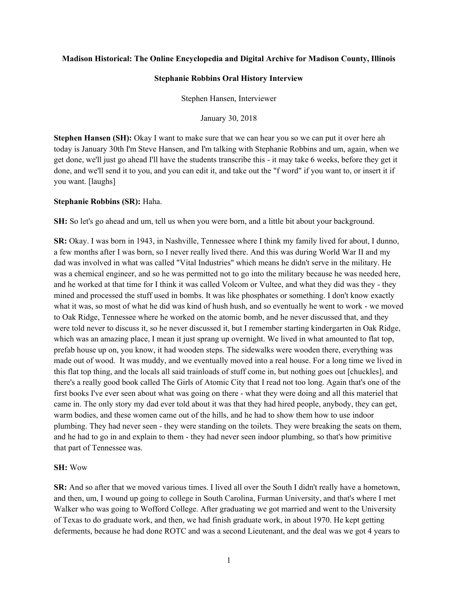## **Madison Historical: The Online Encyclopedia and Digital Archive for Madison County, Illinois**

### **Stephanie Robbins Oral History Interview**

Stephen Hansen, Interviewer

January 30, 2018

**Stephen Hansen (SH):** Okay I want to make sure that we can hear you so we can put it over here ah today is January 30th I'm Steve Hansen, and I'm talking with Stephanie Robbins and um, again, when we get done, we'll just go ahead I'll have the students transcribe this - it may take 6 weeks, before they get it done, and we'll send it to you, and you can edit it, and take out the "f word" if you want to, or insert it if you want. [laughs]

## **Stephanie Robbins (SR):** Haha.

**SH:** So let's go ahead and um, tell us when you were born, and a little bit about your background.

**SR:** Okay. I was born in 1943, in Nashville, Tennessee where I think my family lived for about, I dunno, a few months after I was born, so I never really lived there. And this was during World War II and my dad was involved in what was called "Vital Industries" which means he didn't serve in the military. He was a chemical engineer, and so he was permitted not to go into the military because he was needed here, and he worked at that time for I think it was called Volcom or Vultee, and what they did was they - they mined and processed the stuff used in bombs. It was like phosphates or something. I don't know exactly what it was, so most of what he did was kind of hush hush, and so eventually he went to work - we moved to Oak Ridge, Tennessee where he worked on the atomic bomb, and he never discussed that, and they were told never to discuss it, so he never discussed it, but I remember starting kindergarten in Oak Ridge, which was an amazing place, I mean it just sprang up overnight. We lived in what amounted to flat top, prefab house up on, you know, it had wooden steps. The sidewalks were wooden there, everything was made out of wood. It was muddy, and we eventually moved into a real house. For a long time we lived in this flat top thing, and the locals all said trainloads of stuff come in, but nothing goes out [chuckles], and there's a really good book called The Girls of Atomic City that I read not too long. Again that's one of the first books I've ever seen about what was going on there - what they were doing and all this materiel that came in. The only story my dad ever told about it was that they had hired people, anybody, they can get, warm bodies, and these women came out of the hills, and he had to show them how to use indoor plumbing. They had never seen - they were standing on the toilets. They were breaking the seats on them, and he had to go in and explain to them - they had never seen indoor plumbing, so that's how primitive that part of Tennessee was.

## **SH:** Wow

**SR:** And so after that we moved various times. I lived all over the South I didn't really have a hometown, and then, um, I wound up going to college in South Carolina, Furman University, and that's where I met Walker who was going to Wofford College. After graduating we got married and went to the University of Texas to do graduate work, and then, we had finish graduate work, in about 1970. He kept getting deferments, because he had done ROTC and was a second Lieutenant, and the deal was we got 4 years to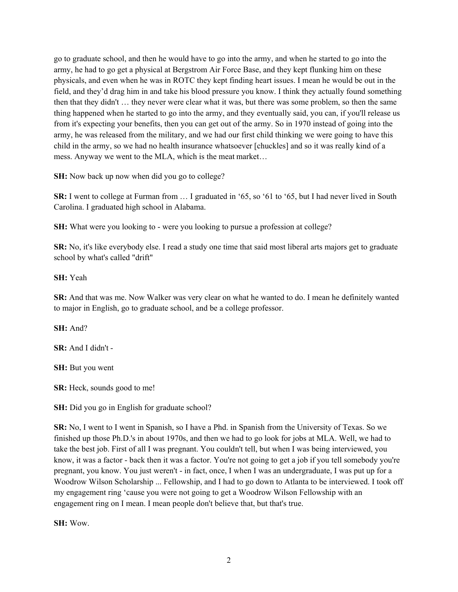go to graduate school, and then he would have to go into the army, and when he started to go into the army, he had to go get a physical at Bergstrom Air Force Base, and they kept flunking him on these physicals, and even when he was in ROTC they kept finding heart issues. I mean he would be out in the field, and they'd drag him in and take his blood pressure you know. I think they actually found something then that they didn't … they never were clear what it was, but there was some problem, so then the same thing happened when he started to go into the army, and they eventually said, you can, if you'll release us from it's expecting your benefits, then you can get out of the army. So in 1970 instead of going into the army, he was released from the military, and we had our first child thinking we were going to have this child in the army, so we had no health insurance whatsoever [chuckles] and so it was really kind of a mess. Anyway we went to the MLA, which is the meat market…

**SH:** Now back up now when did you go to college?

**SR:** I went to college at Furman from ... I graduated in '65, so '61 to '65, but I had never lived in South Carolina. I graduated high school in Alabama.

**SH:** What were you looking to - were you looking to pursue a profession at college?

**SR:** No, it's like everybody else. I read a study one time that said most liberal arts majors get to graduate school by what's called "drift"

# **SH:** Yeah

**SR:** And that was me. Now Walker was very clear on what he wanted to do. I mean he definitely wanted to major in English, go to graduate school, and be a college professor.

# **SH:** And?

**SR:** And I didn't -

**SH:** But you went

**SR:** Heck, sounds good to me!

**SH:** Did you go in English for graduate school?

**SR:** No, I went to I went in Spanish, so I have a Phd. in Spanish from the University of Texas. So we finished up those Ph.D.'s in about 1970s, and then we had to go look for jobs at MLA. Well, we had to take the best job. First of all I was pregnant. You couldn't tell, but when I was being interviewed, you know, it was a factor - back then it was a factor. You're not going to get a job if you tell somebody you're pregnant, you know. You just weren't - in fact, once, I when I was an undergraduate, I was put up for a Woodrow Wilson Scholarship ... Fellowship, and I had to go down to Atlanta to be interviewed. I took off my engagement ring 'cause you were not going to get a Woodrow Wilson Fellowship with an engagement ring on I mean. I mean people don't believe that, but that's true.

**SH:** Wow.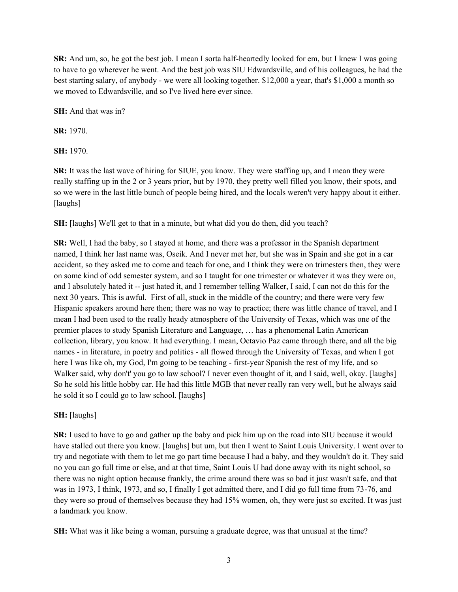**SR:** And um, so, he got the best job. I mean I sorta half-heartedly looked for em, but I knew I was going to have to go wherever he went. And the best job was SIU Edwardsville, and of his colleagues, he had the best starting salary, of anybody - we were all looking together. \$12,000 a year, that's \$1,000 a month so we moved to Edwardsville, and so I've lived here ever since.

**SH:** And that was in?

**SR:** 1970.

**SH:** 1970.

**SR:** It was the last wave of hiring for SIUE, you know. They were staffing up, and I mean they were really staffing up in the 2 or 3 years prior, but by 1970, they pretty well filled you know, their spots, and so we were in the last little bunch of people being hired, and the locals weren't very happy about it either. [laughs]

**SH:** [laughs] We'll get to that in a minute, but what did you do then, did you teach?

**SR:** Well, I had the baby, so I stayed at home, and there was a professor in the Spanish department named, I think her last name was, Oseik. And I never met her, but she was in Spain and she got in a car accident, so they asked me to come and teach for one, and I think they were on trimesters then, they were on some kind of odd semester system, and so I taught for one trimester or whatever it was they were on, and I absolutely hated it -- just hated it, and I remember telling Walker, I said, I can not do this for the next 30 years. This is awful. First of all, stuck in the middle of the country; and there were very few Hispanic speakers around here then; there was no way to practice; there was little chance of travel, and I mean I had been used to the really heady atmosphere of the University of Texas, which was one of the premier places to study Spanish Literature and Language, … has a phenomenal Latin American collection, library, you know. It had everything. I mean, Octavio Paz came through there, and all the big names - in literature, in poetry and politics - all flowed through the University of Texas, and when I got here I was like oh, my God, I'm going to be teaching - first-year Spanish the rest of my life, and so Walker said, why don't' you go to law school? I never even thought of it, and I said, well, okay. [laughs] So he sold his little hobby car. He had this little MGB that never really ran very well, but he always said he sold it so I could go to law school. [laughs]

# **SH:** [laughs]

**SR:** I used to have to go and gather up the baby and pick him up on the road into SIU because it would have stalled out there you know. [laughs] but um, but then I went to Saint Louis University. I went over to try and negotiate with them to let me go part time because I had a baby, and they wouldn't do it. They said no you can go full time or else, and at that time, Saint Louis U had done away with its night school, so there was no night option because frankly, the crime around there was so bad it just wasn't safe, and that was in 1973, I think, 1973, and so, I finally I got admitted there, and I did go full time from 73-76, and they were so proud of themselves because they had 15% women, oh, they were just so excited. It was just a landmark you know.

**SH:** What was it like being a woman, pursuing a graduate degree, was that unusual at the time?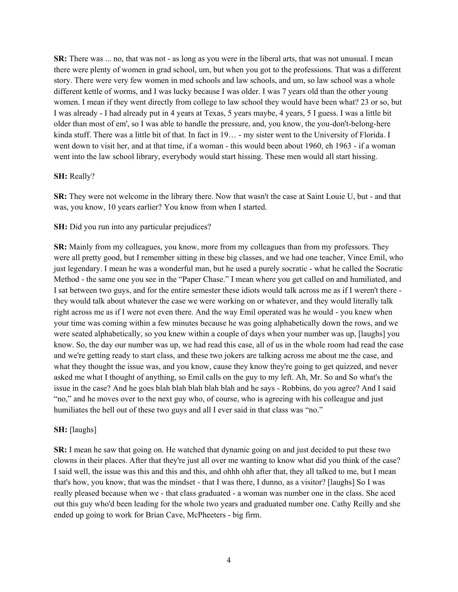**SR:** There was ... no, that was not - as long as you were in the liberal arts, that was not unusual. I mean there were plenty of women in grad school, um, but when you got to the professions. That was a different story. There were very few women in med schools and law schools, and um, so law school was a whole different kettle of worms, and I was lucky because I was older. I was 7 years old than the other young women. I mean if they went directly from college to law school they would have been what? 23 or so, but I was already - I had already put in 4 years at Texas, 5 years maybe, 4 years, 5 I guess. I was a little bit older than most of em', so I was able to handle the pressure, and, you know, the you-don't-belong-here kinda stuff. There was a little bit of that. In fact in 19… - my sister went to the University of Florida. I went down to visit her, and at that time, if a woman - this would been about 1960, eh 1963 - if a woman went into the law school library, everybody would start hissing. These men would all start hissing.

## **SH:** Really?

**SR:** They were not welcome in the library there. Now that wasn't the case at Saint Louie U, but - and that was, you know, 10 years earlier? You know from when I started.

### **SH:** Did you run into any particular prejudices?

**SR:** Mainly from my colleagues, you know, more from my colleagues than from my professors. They were all pretty good, but I remember sitting in these big classes, and we had one teacher, Vince Emil, who just legendary. I mean he was a wonderful man, but he used a purely socratic - what he called the Socratic Method - the same one you see in the "Paper Chase." I mean where you get called on and humiliated, and I sat between two guys, and for the entire semester these idiots would talk across me as if I weren't there they would talk about whatever the case we were working on or whatever, and they would literally talk right across me as if I were not even there. And the way Emil operated was he would - you knew when your time was coming within a few minutes because he was going alphabetically down the rows, and we were seated alphabetically, so you knew within a couple of days when your number was up, [laughs] you know. So, the day our number was up, we had read this case, all of us in the whole room had read the case and we're getting ready to start class, and these two jokers are talking across me about me the case, and what they thought the issue was, and you know, cause they know they're going to get quizzed, and never asked me what I thought of anything, so Emil calls on the guy to my left. Ah, Mr. So and So what's the issue in the case? And he goes blah blah blah blah blah and he says - Robbins, do you agree? And I said "no," and he moves over to the next guy who, of course, who is agreeing with his colleague and just humiliates the hell out of these two guys and all I ever said in that class was "no."

## **SH:** [laughs]

**SR:** I mean he saw that going on. He watched that dynamic going on and just decided to put these two clowns in their places. After that they're just all over me wanting to know what did you think of the case? I said well, the issue was this and this and this, and ohhh ohh after that, they all talked to me, but I mean that's how, you know, that was the mindset - that I was there, I dunno, as a visitor? [laughs] So I was really pleased because when we - that class graduated - a woman was number one in the class. She aced out this guy who'd been leading for the whole two years and graduated number one. Cathy Reilly and she ended up going to work for Brian Cave, McPheeters - big firm.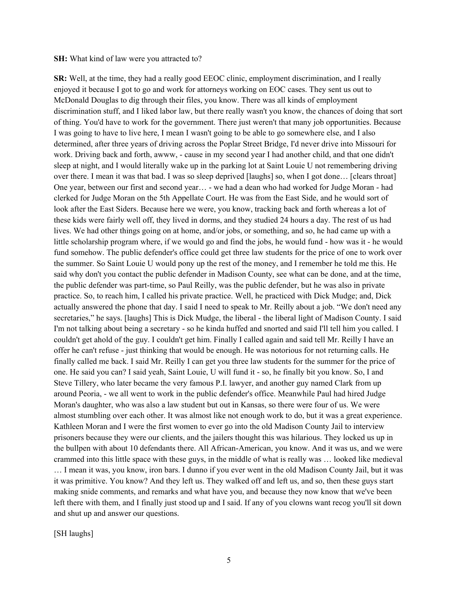#### **SH:** What kind of law were you attracted to?

**SR:** Well, at the time, they had a really good EEOC clinic, employment discrimination, and I really enjoyed it because I got to go and work for attorneys working on EOC cases. They sent us out to McDonald Douglas to dig through their files, you know. There was all kinds of employment discrimination stuff, and I liked labor law, but there really wasn't you know, the chances of doing that sort of thing. You'd have to work for the government. There just weren't that many job opportunities. Because I was going to have to live here, I mean I wasn't going to be able to go somewhere else, and I also determined, after three years of driving across the Poplar Street Bridge, I'd never drive into Missouri for work. Driving back and forth, awww, - cause in my second year I had another child, and that one didn't sleep at night, and I would literally wake up in the parking lot at Saint Louie U not remembering driving over there. I mean it was that bad. I was so sleep deprived [laughs] so, when I got done… [clears throat] One year, between our first and second year… - we had a dean who had worked for Judge Moran - had clerked for Judge Moran on the 5th Appellate Court. He was from the East Side, and he would sort of look after the East Siders. Because here we were, you know, tracking back and forth whereas a lot of these kids were fairly well off, they lived in dorms, and they studied 24 hours a day. The rest of us had lives. We had other things going on at home, and/or jobs, or something, and so, he had came up with a little scholarship program where, if we would go and find the jobs, he would fund - how was it - he would fund somehow. The public defender's office could get three law students for the price of one to work over the summer. So Saint Louie U would pony up the rest of the money, and I remember he told me this. He said why don't you contact the public defender in Madison County, see what can be done, and at the time, the public defender was part-time, so Paul Reilly, was the public defender, but he was also in private practice. So, to reach him, I called his private practice. Well, he practiced with Dick Mudge; and, Dick actually answered the phone that day. I said I need to speak to Mr. Reilly about a job. "We don't need any secretaries," he says. [laughs] This is Dick Mudge, the liberal - the liberal light of Madison County. I said I'm not talking about being a secretary - so he kinda huffed and snorted and said I'll tell him you called. I couldn't get ahold of the guy. I couldn't get him. Finally I called again and said tell Mr. Reilly I have an offer he can't refuse - just thinking that would be enough. He was notorious for not returning calls. He finally called me back. I said Mr. Reilly I can get you three law students for the summer for the price of one. He said you can? I said yeah, Saint Louie, U will fund it - so, he finally bit you know. So, I and Steve Tillery, who later became the very famous P.I. lawyer, and another guy named Clark from up around Peoria, - we all went to work in the public defender's office. Meanwhile Paul had hired Judge Moran's daughter, who was also a law student but out in Kansas, so there were four of us. We were almost stumbling over each other. It was almost like not enough work to do, but it was a great experience. Kathleen Moran and I were the first women to ever go into the old Madison County Jail to interview prisoners because they were our clients, and the jailers thought this was hilarious. They locked us up in the bullpen with about 10 defendants there. All African-American, you know. And it was us, and we were crammed into this little space with these guys, in the middle of what is really was … looked like medieval … I mean it was, you know, iron bars. I dunno if you ever went in the old Madison County Jail, but it was it was primitive. You know? And they left us. They walked off and left us, and so, then these guys start making snide comments, and remarks and what have you, and because they now know that we've been left there with them, and I finally just stood up and I said. If any of you clowns want recog you'll sit down and shut up and answer our questions.

[SH laughs]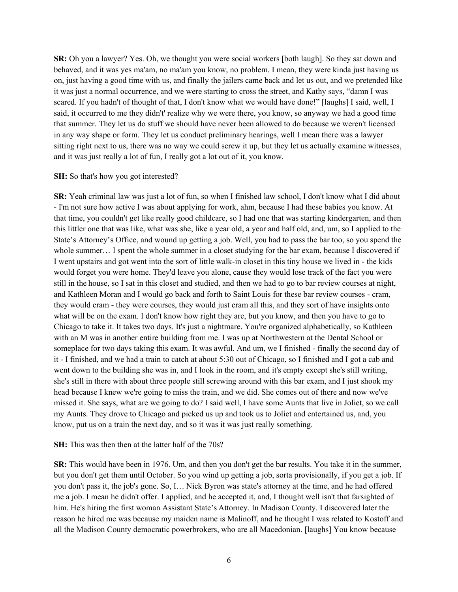**SR:** Oh you a lawyer? Yes. Oh, we thought you were social workers [both laugh]. So they sat down and behaved, and it was yes ma'am, no ma'am you know, no problem. I mean, they were kinda just having us on, just having a good time with us, and finally the jailers came back and let us out, and we pretended like it was just a normal occurrence, and we were starting to cross the street, and Kathy says, "damn I was scared. If you hadn't of thought of that, I don't know what we would have done!" [laughs] I said, well, I said, it occurred to me they didn't' realize why we were there, you know, so anyway we had a good time that summer. They let us do stuff we should have never been allowed to do because we weren't licensed in any way shape or form. They let us conduct preliminary hearings, well I mean there was a lawyer sitting right next to us, there was no way we could screw it up, but they let us actually examine witnesses, and it was just really a lot of fun, I really got a lot out of it, you know.

## **SH:** So that's how you got interested?

**SR:** Yeah criminal law was just a lot of fun, so when I finished law school, I don't know what I did about - I'm not sure how active I was about applying for work, ahm, because I had these babies you know. At that time, you couldn't get like really good childcare, so I had one that was starting kindergarten, and then this littler one that was like, what was she, like a year old, a year and half old, and, um, so I applied to the State's Attorney's Office, and wound up getting a job. Well, you had to pass the bar too, so you spend the whole summer… I spent the whole summer in a closet studying for the bar exam, because I discovered if I went upstairs and got went into the sort of little walk-in closet in this tiny house we lived in - the kids would forget you were home. They'd leave you alone, cause they would lose track of the fact you were still in the house, so I sat in this closet and studied, and then we had to go to bar review courses at night, and Kathleen Moran and I would go back and forth to Saint Louis for these bar review courses - cram, they would cram - they were courses, they would just cram all this, and they sort of have insights onto what will be on the exam. I don't know how right they are, but you know, and then you have to go to Chicago to take it. It takes two days. It's just a nightmare. You're organized alphabetically, so Kathleen with an M was in another entire building from me. I was up at Northwestern at the Dental School or someplace for two days taking this exam. It was awful. And um, we I finished - finally the second day of it - I finished, and we had a train to catch at about 5:30 out of Chicago, so I finished and I got a cab and went down to the building she was in, and I look in the room, and it's empty except she's still writing, she's still in there with about three people still screwing around with this bar exam, and I just shook my head because I knew we're going to miss the train, and we did. She comes out of there and now we've missed it. She says, what are we going to do? I said well, I have some Aunts that live in Joliet, so we call my Aunts. They drove to Chicago and picked us up and took us to Joliet and entertained us, and, you know, put us on a train the next day, and so it was it was just really something.

## **SH:** This was then then at the latter half of the 70s?

**SR:** This would have been in 1976. Um, and then you don't get the bar results. You take it in the summer, but you don't get them until October. So you wind up getting a job, sorta provisionally, if you get a job. If you don't pass it, the job's gone. So, I… Nick Byron was state's attorney at the time, and he had offered me a job. I mean he didn't offer. I applied, and he accepted it, and, I thought well isn't that farsighted of him. He's hiring the first woman Assistant State's Attorney. In Madison County. I discovered later the reason he hired me was because my maiden name is Malinoff, and he thought I was related to Kostoff and all the Madison County democratic powerbrokers, who are all Macedonian. [laughs] You know because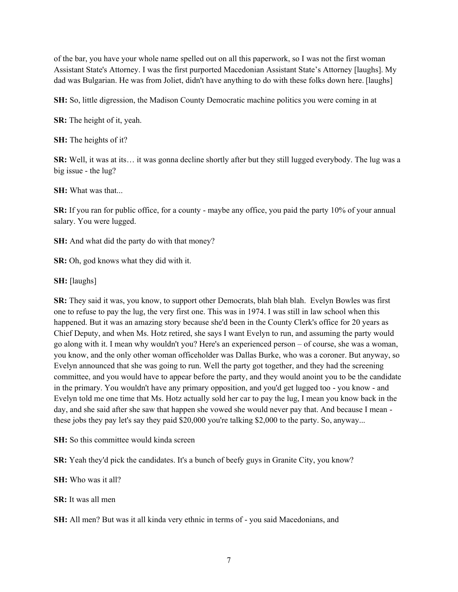of the bar, you have your whole name spelled out on all this paperwork, so I was not the first woman Assistant State's Attorney. I was the first purported Macedonian Assistant State's Attorney [laughs]. My dad was Bulgarian. He was from Joliet, didn't have anything to do with these folks down here. [laughs]

**SH:** So, little digression, the Madison County Democratic machine politics you were coming in at

**SR:** The height of it, yeah.

**SH:** The heights of it?

**SR:** Well, it was at its… it was gonna decline shortly after but they still lugged everybody. The lug was a big issue - the lug?

**SH:** What was that...

**SR:** If you ran for public office, for a county - maybe any office, you paid the party 10% of your annual salary. You were lugged.

**SH:** And what did the party do with that money?

**SR:** Oh, god knows what they did with it.

**SH:** [laughs]

**SR:** They said it was, you know, to support other Democrats, blah blah blah. Evelyn Bowles was first one to refuse to pay the lug, the very first one. This was in 1974. I was still in law school when this happened. But it was an amazing story because she'd been in the County Clerk's office for 20 years as Chief Deputy, and when Ms. Hotz retired, she says I want Evelyn to run, and assuming the party would go along with it. I mean why wouldn't you? Here's an experienced person – of course, she was a woman, you know, and the only other woman officeholder was Dallas Burke, who was a coroner. But anyway, so Evelyn announced that she was going to run. Well the party got together, and they had the screening committee, and you would have to appear before the party, and they would anoint you to be the candidate in the primary. You wouldn't have any primary opposition, and you'd get lugged too - you know - and Evelyn told me one time that Ms. Hotz actually sold her car to pay the lug, I mean you know back in the day, and she said after she saw that happen she vowed she would never pay that. And because I mean these jobs they pay let's say they paid \$20,000 you're talking \$2,000 to the party. So, anyway...

**SH:** So this committee would kinda screen

**SR:** Yeah they'd pick the candidates. It's a bunch of beefy guys in Granite City, you know?

**SH:** Who was it all?

**SR:** It was all men

**SH:** All men? But was it all kinda very ethnic in terms of - you said Macedonians, and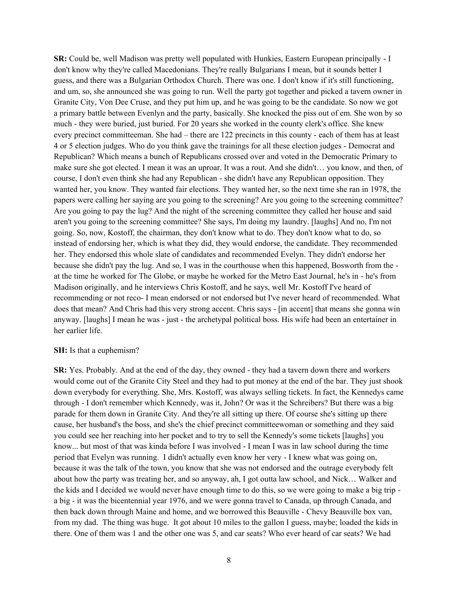**SR:** Could be, well Madison was pretty well populated with Hunkies, Eastern European principally - I don't know why they're called Macedonians. They're really Bulgarians I mean, but it sounds better I guess, and there was a Bulgarian Orthodox Church. There was one. I don't know if it's still functioning, and um, so, she announced she was going to run. Well the party got together and picked a tavern owner in Granite City, Von Dee Cruse, and they put him up, and he was going to be the candidate. So now we got a primary battle between Evenlyn and the party, basically. She knocked the piss out of em. She won by so much - they were buried, just buried. For 20 years she worked in the county clerk's office. She knew every precinct committeeman. She had – there are 122 precincts in this county - each of them has at least 4 or 5 election judges. Who do you think gave the trainings for all these election judges - Democrat and Republican? Which means a bunch of Republicans crossed over and voted in the Democratic Primary to make sure she got elected. I mean it was an uproar. It was a rout. And she didn't… you know, and then, of course, I don't even think she had any Republican - she didn't have any Republican opposition. They wanted her, you know. They wanted fair elections. They wanted her, so the next time she ran in 1978, the papers were calling her saying are you going to the screening? Are you going to the screening committee? Are you going to pay the lug? And the night of the screening committee they called her house and said aren't you going to the screening committee? She says, I'm doing my laundry. [laughs] And no, I'm not going. So, now, Kostoff, the chairman, they don't know what to do. They don't know what to do, so instead of endorsing her, which is what they did, they would endorse, the candidate. They recommended her. They endorsed this whole slate of candidates and recommended Evelyn. They didn't endorse her because she didn't pay the lug. And so, I was in the courthouse when this happened, Bosworth from the at the time he worked for The Globe, or maybe he worked for the Metro East Journal, he's in - he's from Madison originally, and he interviews Chris Kostoff, and he says, well Mr. Kostoff I've heard of recommending or not reco- I mean endorsed or not endorsed but I've never heard of recommended. What does that mean? And Chris had this very strong accent. Chris says - [in accent] that means she gonna win anyway. [laughs] I mean he was - just - the archetypal political boss. His wife had been an entertainer in her earlier life.

#### **SH:** Is that a euphemism?

**SR:** Yes. Probably. And at the end of the day, they owned - they had a tavern down there and workers would come out of the Granite City Steel and they had to put money at the end of the bar. They just shook down everybody for everything. She, Mrs. Kostoff, was always selling tickets. In fact, the Kennedys came through - I don't remember which Kennedy, was it, John? Or was it the Schreibers? But there was a big parade for them down in Granite City. And they're all sitting up there. Of course she's sitting up there cause, her husband's the boss, and she's the chief precinct committeewoman or something and they said you could see her reaching into her pocket and to try to sell the Kennedy's some tickets [laughs] you know... but most of that was kinda before I was involved - I mean I was in law school during the time period that Evelyn was running. I didn't actually even know her very - I knew what was going on, because it was the talk of the town, you know that she was not endorsed and the outrage everybody felt about how the party was treating her, and so anyway, ah, I got outta law school, and Nick… Walker and the kids and I decided we would never have enough time to do this, so we were going to make a big trip a big - it was the bicentennial year 1976, and we were gonna travel to Canada, up through Canada, and then back down through Maine and home, and we borrowed this Beauville - Chevy Beauville box van, from my dad. The thing was huge. It got about 10 miles to the gallon I guess, maybe; loaded the kids in there. One of them was 1 and the other one was 5, and car seats? Who ever heard of car seats? We had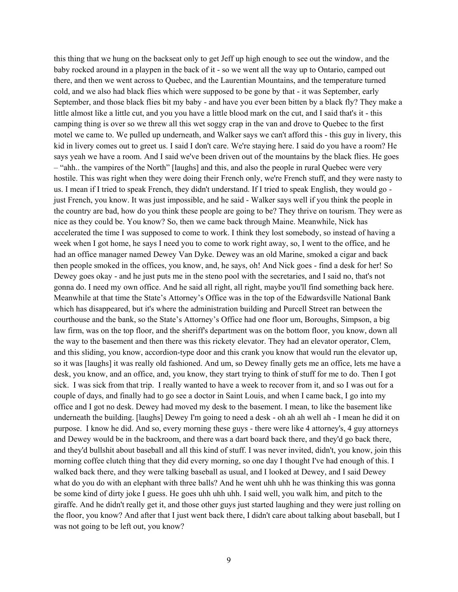this thing that we hung on the backseat only to get Jeff up high enough to see out the window, and the baby rocked around in a playpen in the back of it - so we went all the way up to Ontario, camped out there, and then we went across to Quebec, and the Laurentian Mountains, and the temperature turned cold, and we also had black flies which were supposed to be gone by that - it was September, early September, and those black flies bit my baby - and have you ever been bitten by a black fly? They make a little almost like a little cut, and you you have a little blood mark on the cut, and I said that's it - this camping thing is over so we threw all this wet soggy crap in the van and drove to Quebec to the first motel we came to. We pulled up underneath, and Walker says we can't afford this - this guy in livery, this kid in livery comes out to greet us. I said I don't care. We're staying here. I said do you have a room? He says yeah we have a room. And I said we've been driven out of the mountains by the black flies. He goes – "ahh.. the vampires of the North" [laughs] and this, and also the people in rural Quebec were very hostile. This was right when they were doing their French only, we're French stuff, and they were nasty to us. I mean if I tried to speak French, they didn't understand. If I tried to speak English, they would go just French, you know. It was just impossible, and he said - Walker says well if you think the people in the country are bad, how do you think these people are going to be? They thrive on tourism. They were as nice as they could be. You know? So, then we came back through Maine. Meanwhile, Nick has accelerated the time I was supposed to come to work. I think they lost somebody, so instead of having a week when I got home, he says I need you to come to work right away, so, I went to the office, and he had an office manager named Dewey Van Dyke. Dewey was an old Marine, smoked a cigar and back then people smoked in the offices, you know, and, he says, oh! And Nick goes - find a desk for her! So Dewey goes okay - and he just puts me in the steno pool with the secretaries, and I said no, that's not gonna do. I need my own office. And he said all right, all right, maybe you'll find something back here. Meanwhile at that time the State's Attorney's Office was in the top of the Edwardsville National Bank which has disappeared, but it's where the administration building and Purcell Street ran between the courthouse and the bank, so the State's Attorney's Office had one floor um, Boroughs, Simpson, a big law firm, was on the top floor, and the sheriff's department was on the bottom floor, you know, down all the way to the basement and then there was this rickety elevator. They had an elevator operator, Clem, and this sliding, you know, accordion-type door and this crank you know that would run the elevator up, so it was [laughs] it was really old fashioned. And um, so Dewey finally gets me an office, lets me have a desk, you know, and an office, and, you know, they start trying to think of stuff for me to do. Then I got sick. I was sick from that trip. I really wanted to have a week to recover from it, and so I was out for a couple of days, and finally had to go see a doctor in Saint Louis, and when I came back, I go into my office and I got no desk. Dewey had moved my desk to the basement. I mean, to like the basement like underneath the building. [laughs] Dewey I'm going to need a desk - oh ah ah well ah - I mean he did it on purpose. I know he did. And so, every morning these guys - there were like 4 attorney's, 4 guy attorneys and Dewey would be in the backroom, and there was a dart board back there, and they'd go back there, and they'd bullshit about baseball and all this kind of stuff. I was never invited, didn't, you know, join this morning coffee clutch thing that they did every morning, so one day I thought I've had enough of this. I walked back there, and they were talking baseball as usual, and I looked at Dewey, and I said Dewey what do you do with an elephant with three balls? And he went uhh uhh he was thinking this was gonna be some kind of dirty joke I guess. He goes uhh uhh uhh. I said well, you walk him, and pitch to the giraffe. And he didn't really get it, and those other guys just started laughing and they were just rolling on the floor, you know? And after that I just went back there, I didn't care about talking about baseball, but I was not going to be left out, you know?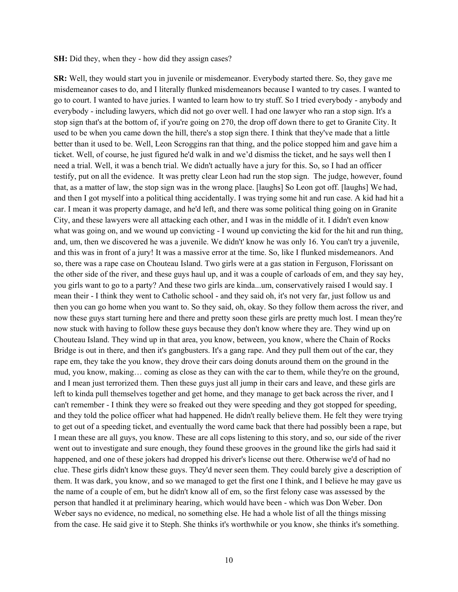#### **SH:** Did they, when they - how did they assign cases?

**SR:** Well, they would start you in juvenile or misdemeanor. Everybody started there. So, they gave me misdemeanor cases to do, and I literally flunked misdemeanors because I wanted to try cases. I wanted to go to court. I wanted to have juries. I wanted to learn how to try stuff. So I tried everybody - anybody and everybody - including lawyers, which did not go over well. I had one lawyer who ran a stop sign. It's a stop sign that's at the bottom of, if you're going on 270, the drop off down there to get to Granite City. It used to be when you came down the hill, there's a stop sign there. I think that they've made that a little better than it used to be. Well, Leon Scroggins ran that thing, and the police stopped him and gave him a ticket. Well, of course, he just figured he'd walk in and we'd dismiss the ticket, and he says well then I need a trial. Well, it was a bench trial. We didn't actually have a jury for this. So, so I had an officer testify, put on all the evidence. It was pretty clear Leon had run the stop sign. The judge, however, found that, as a matter of law, the stop sign was in the wrong place. [laughs] So Leon got off. [laughs] We had, and then I got myself into a political thing accidentally. I was trying some hit and run case. A kid had hit a car. I mean it was property damage, and he'd left, and there was some political thing going on in Granite City, and these lawyers were all attacking each other, and I was in the middle of it. I didn't even know what was going on, and we wound up convicting - I wound up convicting the kid for the hit and run thing, and, um, then we discovered he was a juvenile. We didn't' know he was only 16. You can't try a juvenile, and this was in front of a jury! It was a massive error at the time. So, like I flunked misdemeanors. And so, there was a rape case on Chouteau Island. Two girls were at a gas station in Ferguson, Florissant on the other side of the river, and these guys haul up, and it was a couple of carloads of em, and they say hey, you girls want to go to a party? And these two girls are kinda...um, conservatively raised I would say. I mean their - I think they went to Catholic school - and they said oh, it's not very far, just follow us and then you can go home when you want to. So they said, oh, okay. So they follow them across the river, and now these guys start turning here and there and pretty soon these girls are pretty much lost. I mean they're now stuck with having to follow these guys because they don't know where they are. They wind up on Chouteau Island. They wind up in that area, you know, between, you know, where the Chain of Rocks Bridge is out in there, and then it's gangbusters. It's a gang rape. And they pull them out of the car, they rape em, they take the you know, they drove their cars doing donuts around them on the ground in the mud, you know, making… coming as close as they can with the car to them, while they're on the ground, and I mean just terrorized them. Then these guys just all jump in their cars and leave, and these girls are left to kinda pull themselves together and get home, and they manage to get back across the river, and I can't remember - I think they were so freaked out they were speeding and they got stopped for speeding, and they told the police officer what had happened. He didn't really believe them. He felt they were trying to get out of a speeding ticket, and eventually the word came back that there had possibly been a rape, but I mean these are all guys, you know. These are all cops listening to this story, and so, our side of the river went out to investigate and sure enough, they found these grooves in the ground like the girls had said it happened, and one of these jokers had dropped his driver's license out there. Otherwise we'd of had no clue. These girls didn't know these guys. They'd never seen them. They could barely give a description of them. It was dark, you know, and so we managed to get the first one I think, and I believe he may gave us the name of a couple of em, but he didn't know all of em, so the first felony case was assessed by the person that handled it at preliminary hearing, which would have been - which was Don Weber. Don Weber says no evidence, no medical, no something else. He had a whole list of all the things missing from the case. He said give it to Steph. She thinks it's worthwhile or you know, she thinks it's something.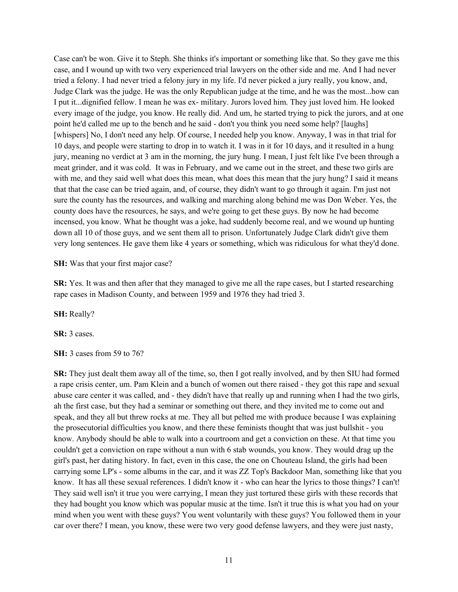Case can't be won. Give it to Steph. She thinks it's important or something like that. So they gave me this case, and I wound up with two very experienced trial lawyers on the other side and me. And I had never tried a felony. I had never tried a felony jury in my life. I'd never picked a jury really, you know, and, Judge Clark was the judge. He was the only Republican judge at the time, and he was the most...how can I put it...dignified fellow. I mean he was ex- military. Jurors loved him. They just loved him. He looked every image of the judge, you know. He really did. And um, he started trying to pick the jurors, and at one point he'd called me up to the bench and he said - don't you think you need some help? [laughs] [whispers] No, I don't need any help. Of course, I needed help you know. Anyway, I was in that trial for 10 days, and people were starting to drop in to watch it. I was in it for 10 days, and it resulted in a hung jury, meaning no verdict at 3 am in the morning, the jury hung. I mean, I just felt like I've been through a meat grinder, and it was cold. It was in February, and we came out in the street, and these two girls are with me, and they said well what does this mean, what does this mean that the jury hung? I said it means that that the case can be tried again, and, of course, they didn't want to go through it again. I'm just not sure the county has the resources, and walking and marching along behind me was Don Weber. Yes, the county does have the resources, he says, and we're going to get these guys. By now he had become incensed, you know. What he thought was a joke, had suddenly become real, and we wound up hunting down all 10 of those guys, and we sent them all to prison. Unfortunately Judge Clark didn't give them very long sentences. He gave them like 4 years or something, which was ridiculous for what they'd done.

## **SH:** Was that your first major case?

**SR:** Yes. It was and then after that they managed to give me all the rape cases, but I started researching rape cases in Madison County, and between 1959 and 1976 they had tried 3.

**SH:** Really?

**SR:** 3 cases.

**SH:** 3 cases from 59 to 76?

**SR:** They just dealt them away all of the time, so, then I got really involved, and by then SIU had formed a rape crisis center, um. Pam Klein and a bunch of women out there raised - they got this rape and sexual abuse care center it was called, and - they didn't have that really up and running when I had the two girls, ah the first case, but they had a seminar or something out there, and they invited me to come out and speak, and they all but threw rocks at me. They all but pelted me with produce because I was explaining the prosecutorial difficulties you know, and there these feminists thought that was just bullshit - you know. Anybody should be able to walk into a courtroom and get a conviction on these. At that time you couldn't get a conviction on rape without a nun with 6 stab wounds, you know. They would drag up the girl's past, her dating history. In fact, even in this case, the one on Chouteau Island, the girls had been carrying some LP's - some albums in the car, and it was ZZ Top's Backdoor Man, something like that you know. It has all these sexual references. I didn't know it - who can hear the lyrics to those things? I can't! They said well isn't it true you were carrying, I mean they just tortured these girls with these records that they had bought you know which was popular music at the time. Isn't it true this is what you had on your mind when you went with these guys? You went voluntarily with these guys? You followed them in your car over there? I mean, you know, these were two very good defense lawyers, and they were just nasty,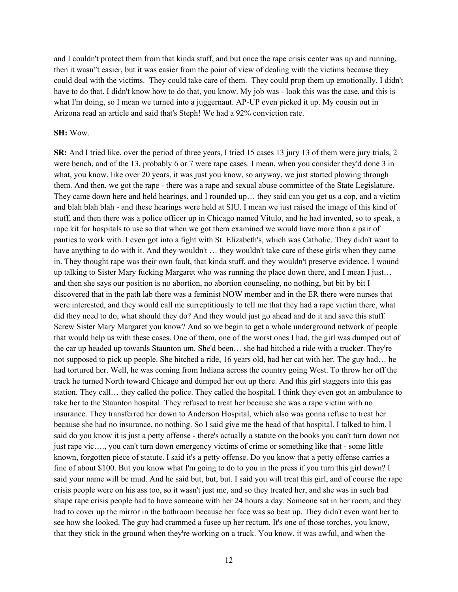and I couldn't protect them from that kinda stuff, and but once the rape crisis center was up and running, then it wasn"t easier, but it was easier from the point of view of dealing with the victims because they could deal with the victims. They could take care of them. They could prop them up emotionally. I didn't have to do that. I didn't know how to do that, you know. My job was - look this was the case, and this is what I'm doing, so I mean we turned into a juggernaut. AP-UP even picked it up. My cousin out in Arizona read an article and said that's Steph! We had a 92% conviction rate.

## **SH:** Wow.

**SR:** And I tried like, over the period of three years, I tried 15 cases 13 jury 13 of them were jury trials, 2 were bench, and of the 13, probably 6 or 7 were rape cases. I mean, when you consider they'd done 3 in what, you know, like over 20 years, it was just you know, so anyway, we just started plowing through them. And then, we got the rape - there was a rape and sexual abuse committee of the State Legislature. They came down here and held hearings, and I rounded up… they said can you get us a cop, and a victim and blah blah blah - and these hearings were held at SIU. I mean we just raised the image of this kind of stuff, and then there was a police officer up in Chicago named Vitulo, and he had invented, so to speak, a rape kit for hospitals to use so that when we got them examined we would have more than a pair of panties to work with. I even got into a fight with St. Elizabeth's, which was Catholic. They didn't want to have anything to do with it. And they wouldn't … they wouldn't take care of these girls when they came in. They thought rape was their own fault, that kinda stuff, and they wouldn't preserve evidence. I wound up talking to Sister Mary fucking Margaret who was running the place down there, and I mean I just… and then she says our position is no abortion, no abortion counseling, no nothing, but bit by bit I discovered that in the path lab there was a feminist NOW member and in the ER there were nurses that were interested, and they would call me surreptitiously to tell me that they had a rape victim there, what did they need to do, what should they do? And they would just go ahead and do it and save this stuff. Screw Sister Mary Margaret you know? And so we begin to get a whole underground network of people that would help us with these cases. One of them, one of the worst ones I had, the girl was dumped out of the car up headed up towards Staunton um. She'd been… she had hitched a ride with a trucker. They're not supposed to pick up people. She hitched a ride, 16 years old, had her cat with her. The guy had… he had tortured her. Well, he was coming from Indiana across the country going West. To throw her off the track he turned North toward Chicago and dumped her out up there. And this girl staggers into this gas station. They call… they called the police. They called the hospital. I think they even got an ambulance to take her to the Staunton hospital. They refused to treat her because she was a rape victim with no insurance. They transferred her down to Anderson Hospital, which also was gonna refuse to treat her because she had no insurance, no nothing. So I said give me the head of that hospital. I talked to him. I said do you know it is just a petty offense - there's actually a statute on the books you can't turn down not just rape vic…., you can't turn down emergency victims of crime or something like that - some little known, forgotten piece of statute. I said it's a petty offense. Do you know that a petty offense carries a fine of about \$100. But you know what I'm going to do to you in the press if you turn this girl down? I said your name will be mud. And he said but, but, but. I said you will treat this girl, and of course the rape crisis people were on his ass too, so it wasn't just me, and so they treated her, and she was in such bad shape rape crisis people had to have someone with her 24 hours a day. Someone sat in her room, and they had to cover up the mirror in the bathroom because her face was so beat up. They didn't even want her to see how she looked. The guy had crammed a fusee up her rectum. It's one of those torches, you know, that they stick in the ground when they're working on a truck. You know, it was awful, and when the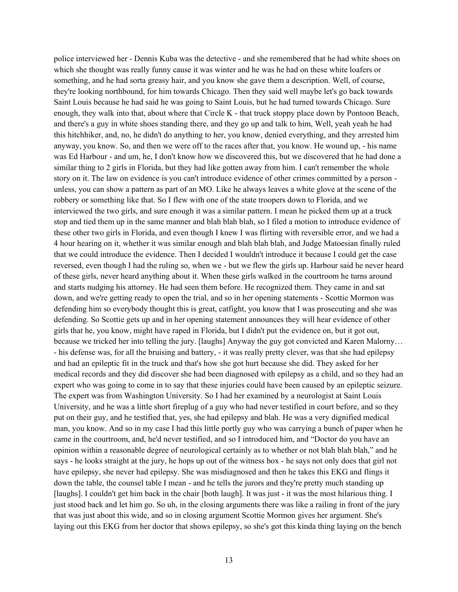police interviewed her - Dennis Kuba was the detective - and she remembered that he had white shoes on which she thought was really funny cause it was winter and he was he had on these white loafers or something, and he had sorta greasy hair, and you know she gave them a description. Well, of course, they're looking northbound, for him towards Chicago. Then they said well maybe let's go back towards Saint Louis because he had said he was going to Saint Louis, but he had turned towards Chicago. Sure enough, they walk into that, about where that Circle K - that truck stoppy place down by Pontoon Beach, and there's a guy in white shoes standing there, and they go up and talk to him, Well, yeah yeah he had this hitchhiker, and, no, he didn't do anything to her, you know, denied everything, and they arrested him anyway, you know. So, and then we were off to the races after that, you know. He wound up, - his name was Ed Harbour - and um, he, I don't know how we discovered this, but we discovered that he had done a similar thing to 2 girls in Florida, but they had like gotten away from him. I can't remember the whole story on it. The law on evidence is you can't introduce evidence of other crimes committed by a person unless, you can show a pattern as part of an MO. Like he always leaves a white glove at the scene of the robbery or something like that. So I flew with one of the state troopers down to Florida, and we interviewed the two girls, and sure enough it was a similar pattern. I mean he picked them up at a truck stop and tied them up in the same manner and blah blah blah, so I filed a motion to introduce evidence of these other two girls in Florida, and even though I knew I was flirting with reversible error, and we had a 4 hour hearing on it, whether it was similar enough and blah blah blah, and Judge Matoesian finally ruled that we could introduce the evidence. Then I decided I wouldn't introduce it because I could get the case reversed, even though I had the ruling so, when we - but we flew the girls up. Harbour said he never heard of these girls, never heard anything about it. When these girls walked in the courtroom he turns around and starts nudging his attorney. He had seen them before. He recognized them. They came in and sat down, and we're getting ready to open the trial, and so in her opening statements - Scottie Mormon was defending him so everybody thought this is great, catfight, you know that I was prosecuting and she was defending. So Scottie gets up and in her opening statement announces they will hear evidence of other girls that he, you know, might have raped in Florida, but I didn't put the evidence on, but it got out, because we tricked her into telling the jury. [laughs] Anyway the guy got convicted and Karen Malorny… - his defense was, for all the bruising and battery, - it was really pretty clever, was that she had epilepsy and had an epileptic fit in the truck and that's how she got hurt because she did. They asked for her medical records and they did discover she had been diagnosed with epilepsy as a child, and so they had an expert who was going to come in to say that these injuries could have been caused by an epileptic seizure. The expert was from Washington University. So I had her examined by a neurologist at Saint Louis University, and he was a little short fireplug of a guy who had never testified in court before, and so they put on their guy, and he testified that, yes, she had epilepsy and blah. He was a very dignified medical man, you know. And so in my case I had this little portly guy who was carrying a bunch of paper when he came in the courtroom, and, he'd never testified, and so I introduced him, and "Doctor do you have an opinion within a reasonable degree of neurological certainly as to whether or not blah blah blah," and he says - he looks straight at the jury, he hops up out of the witness box - he says not only does that girl not have epilepsy, she never had epilepsy. She was misdiagnosed and then he takes this EKG and flings it down the table, the counsel table I mean - and he tells the jurors and they're pretty much standing up [laughs]. I couldn't get him back in the chair [both laugh]. It was just - it was the most hilarious thing. I just stood back and let him go. So uh, in the closing arguments there was like a railing in front of the jury that was just about this wide, and so in closing argument Scottie Mormon gives her argument. She's laying out this EKG from her doctor that shows epilepsy, so she's got this kinda thing laying on the bench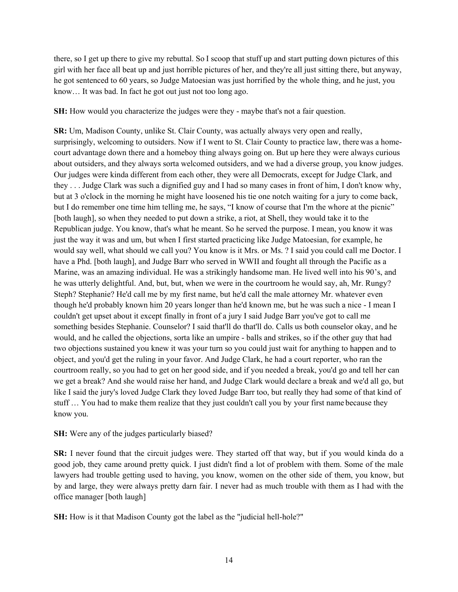there, so I get up there to give my rebuttal. So I scoop that stuff up and start putting down pictures of this girl with her face all beat up and just horrible pictures of her, and they're all just sitting there, but anyway, he got sentenced to 60 years, so Judge Matoesian was just horrified by the whole thing, and he just, you know… It was bad. In fact he got out just not too long ago.

**SH:** How would you characterize the judges were they - maybe that's not a fair question.

**SR:** Um, Madison County, unlike St. Clair County, was actually always very open and really, surprisingly, welcoming to outsiders. Now if I went to St. Clair County to practice law, there was a homecourt advantage down there and a homeboy thing always going on. But up here they were always curious about outsiders, and they always sorta welcomed outsiders, and we had a diverse group, you know judges. Our judges were kinda different from each other, they were all Democrats, except for Judge Clark, and they . . . Judge Clark was such a dignified guy and I had so many cases in front of him, I don't know why, but at 3 o'clock in the morning he might have loosened his tie one notch waiting for a jury to come back, but I do remember one time him telling me, he says, "I know of course that I'm the whore at the picnic" [both laugh], so when they needed to put down a strike, a riot, at Shell, they would take it to the Republican judge. You know, that's what he meant. So he served the purpose. I mean, you know it was just the way it was and um, but when I first started practicing like Judge Matoesian, for example, he would say well, what should we call you? You know is it Mrs. or Ms. ? I said you could call me Doctor. I have a Phd. [both laugh], and Judge Barr who served in WWII and fought all through the Pacific as a Marine, was an amazing individual. He was a strikingly handsome man. He lived well into his 90's, and he was utterly delightful. And, but, but, when we were in the courtroom he would say, ah, Mr. Rungy? Steph? Stephanie? He'd call me by my first name, but he'd call the male attorney Mr. whatever even though he'd probably known him 20 years longer than he'd known me, but he was such a nice - I mean I couldn't get upset about it except finally in front of a jury I said Judge Barr you've got to call me something besides Stephanie. Counselor? I said that'll do that'll do. Calls us both counselor okay, and he would, and he called the objections, sorta like an umpire - balls and strikes, so if the other guy that had two objections sustained you knew it was your turn so you could just wait for anything to happen and to object, and you'd get the ruling in your favor. And Judge Clark, he had a court reporter, who ran the courtroom really, so you had to get on her good side, and if you needed a break, you'd go and tell her can we get a break? And she would raise her hand, and Judge Clark would declare a break and we'd all go, but like I said the jury's loved Judge Clark they loved Judge Barr too, but really they had some of that kind of stuff … You had to make them realize that they just couldn't call you by your first name because they know you.

# **SH:** Were any of the judges particularly biased?

**SR:** I never found that the circuit judges were. They started off that way, but if you would kinda do a good job, they came around pretty quick. I just didn't find a lot of problem with them. Some of the male lawyers had trouble getting used to having, you know, women on the other side of them, you know, but by and large, they were always pretty darn fair. I never had as much trouble with them as I had with the office manager [both laugh]

**SH:** How is it that Madison County got the label as the "judicial hell-hole?"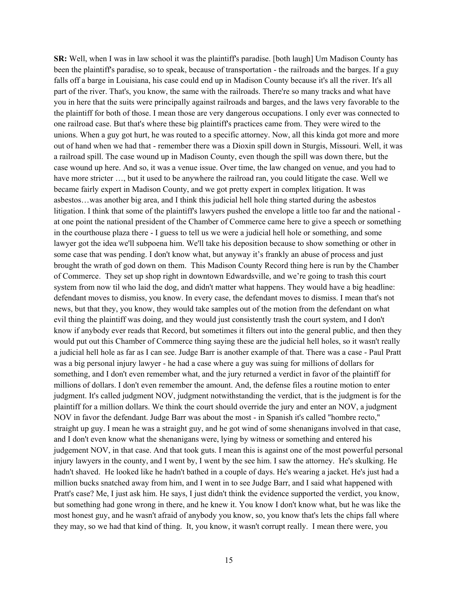**SR:** Well, when I was in law school it was the plaintiff's paradise. [both laugh] Um Madison County has been the plaintiff's paradise, so to speak, because of transportation - the railroads and the barges. If a guy falls off a barge in Louisiana, his case could end up in Madison County because it's all the river. It's all part of the river. That's, you know, the same with the railroads. There're so many tracks and what have you in here that the suits were principally against railroads and barges, and the laws very favorable to the the plaintiff for both of those. I mean those are very dangerous occupations. I only ever was connected to one railroad case. But that's where these big plaintiff's practices came from. They were wired to the unions. When a guy got hurt, he was routed to a specific attorney. Now, all this kinda got more and more out of hand when we had that - remember there was a Dioxin spill down in Sturgis, Missouri. Well, it was a railroad spill. The case wound up in Madison County, even though the spill was down there, but the case wound up here. And so, it was a venue issue. Over time, the law changed on venue, and you had to have more stricter …, but it used to be anywhere the railroad ran, you could litigate the case. Well we became fairly expert in Madison County, and we got pretty expert in complex litigation. It was asbestos…was another big area, and I think this judicial hell hole thing started during the asbestos litigation. I think that some of the plaintiff's lawyers pushed the envelope a little too far and the national at one point the national president of the Chamber of Commerce came here to give a speech or something in the courthouse plaza there - I guess to tell us we were a judicial hell hole or something, and some lawyer got the idea we'll subpoena him. We'll take his deposition because to show something or other in some case that was pending. I don't know what, but anyway it's frankly an abuse of process and just brought the wrath of god down on them. This Madison County Record thing here is run by the Chamber of Commerce. They set up shop right in downtown Edwardsville, and we're going to trash this court system from now til who laid the dog, and didn't matter what happens. They would have a big headline: defendant moves to dismiss, you know. In every case, the defendant moves to dismiss. I mean that's not news, but that they, you know, they would take samples out of the motion from the defendant on what evil thing the plaintiff was doing, and they would just consistently trash the court system, and I don't know if anybody ever reads that Record, but sometimes it filters out into the general public, and then they would put out this Chamber of Commerce thing saying these are the judicial hell holes, so it wasn't really a judicial hell hole as far as I can see. Judge Barr is another example of that. There was a case - Paul Pratt was a big personal injury lawyer - he had a case where a guy was suing for millions of dollars for something, and I don't even remember what, and the jury returned a verdict in favor of the plaintiff for millions of dollars. I don't even remember the amount. And, the defense files a routine motion to enter judgment. It's called judgment NOV, judgment notwithstanding the verdict, that is the judgment is for the plaintiff for a million dollars. We think the court should override the jury and enter an NOV, a judgment NOV in favor the defendant. Judge Barr was about the most - in Spanish it's called "hombre recto," straight up guy. I mean he was a straight guy, and he got wind of some shenanigans involved in that case, and I don't even know what the shenanigans were, lying by witness or something and entered his judgement NOV, in that case. And that took guts. I mean this is against one of the most powerful personal injury lawyers in the county, and I went by, I went by the see him. I saw the attorney. He's skulking. He hadn't shaved. He looked like he hadn't bathed in a couple of days. He's wearing a jacket. He's just had a million bucks snatched away from him, and I went in to see Judge Barr, and I said what happened with Pratt's case? Me, I just ask him. He says, I just didn't think the evidence supported the verdict, you know, but something had gone wrong in there, and he knew it. You know I don't know what, but he was like the most honest guy, and he wasn't afraid of anybody you know, so, you know that's lets the chips fall where they may, so we had that kind of thing. It, you know, it wasn't corrupt really. I mean there were, you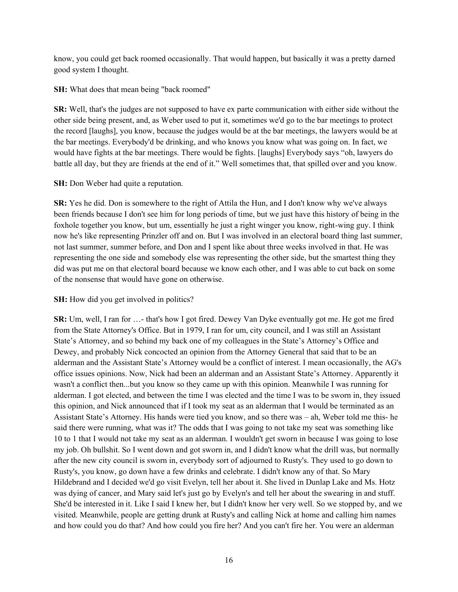know, you could get back roomed occasionally. That would happen, but basically it was a pretty darned good system I thought.

**SH:** What does that mean being "back roomed"

**SR:** Well, that's the judges are not supposed to have ex parte communication with either side without the other side being present, and, as Weber used to put it, sometimes we'd go to the bar meetings to protect the record [laughs], you know, because the judges would be at the bar meetings, the lawyers would be at the bar meetings. Everybody'd be drinking, and who knows you know what was going on. In fact, we would have fights at the bar meetings. There would be fights. [laughs] Everybody says "oh, lawyers do battle all day, but they are friends at the end of it." Well sometimes that, that spilled over and you know.

**SH:** Don Weber had quite a reputation.

**SR:** Yes he did. Don is somewhere to the right of Attila the Hun, and I don't know why we've always been friends because I don't see him for long periods of time, but we just have this history of being in the foxhole together you know, but um, essentially he just a right winger you know, right-wing guy. I think now he's like representing Prinzler off and on. But I was involved in an electoral board thing last summer, not last summer, summer before, and Don and I spent like about three weeks involved in that. He was representing the one side and somebody else was representing the other side, but the smartest thing they did was put me on that electoral board because we know each other, and I was able to cut back on some of the nonsense that would have gone on otherwise.

# **SH:** How did you get involved in politics?

**SR:** Um, well, I ran for …- that's how I got fired. Dewey Van Dyke eventually got me. He got me fired from the State Attorney's Office. But in 1979, I ran for um, city council, and I was still an Assistant State's Attorney, and so behind my back one of my colleagues in the State's Attorney's Office and Dewey, and probably Nick concocted an opinion from the Attorney General that said that to be an alderman and the Assistant State's Attorney would be a conflict of interest. I mean occasionally, the AG's office issues opinions. Now, Nick had been an alderman and an Assistant State's Attorney. Apparently it wasn't a conflict then...but you know so they came up with this opinion. Meanwhile I was running for alderman. I got elected, and between the time I was elected and the time I was to be sworn in, they issued this opinion, and Nick announced that if I took my seat as an alderman that I would be terminated as an Assistant State's Attorney. His hands were tied you know, and so there was – ah, Weber told me this- he said there were running, what was it? The odds that I was going to not take my seat was something like 10 to 1 that I would not take my seat as an alderman. I wouldn't get sworn in because I was going to lose my job. Oh bullshit. So I went down and got sworn in, and I didn't know what the drill was, but normally after the new city council is sworn in, everybody sort of adjourned to Rusty's. They used to go down to Rusty's, you know, go down have a few drinks and celebrate. I didn't know any of that. So Mary Hildebrand and I decided we'd go visit Evelyn, tell her about it. She lived in Dunlap Lake and Ms. Hotz was dying of cancer, and Mary said let's just go by Evelyn's and tell her about the swearing in and stuff. She'd be interested in it. Like I said I knew her, but I didn't know her very well. So we stopped by, and we visited. Meanwhile, people are getting drunk at Rusty's and calling Nick at home and calling him names and how could you do that? And how could you fire her? And you can't fire her. You were an alderman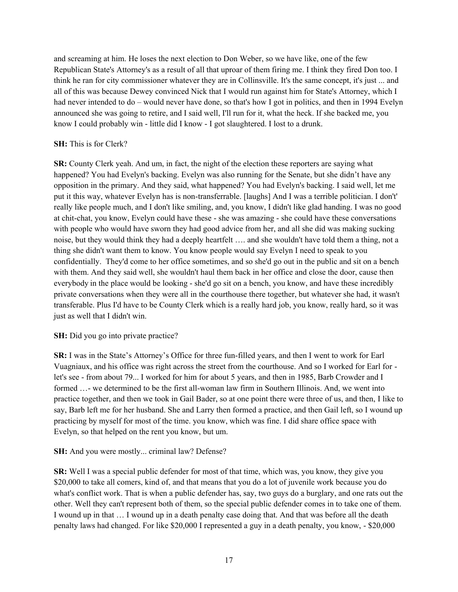and screaming at him. He loses the next election to Don Weber, so we have like, one of the few Republican State's Attorney's as a result of all that uproar of them firing me. I think they fired Don too. I think he ran for city commissioner whatever they are in Collinsville. It's the same concept, it's just ... and all of this was because Dewey convinced Nick that I would run against him for State's Attorney, which I had never intended to do – would never have done, so that's how I got in politics, and then in 1994 Evelyn announced she was going to retire, and I said well, I'll run for it, what the heck. If she backed me, you know I could probably win - little did I know - I got slaughtered. I lost to a drunk.

# **SH:** This is for Clerk?

**SR:** County Clerk yeah. And um, in fact, the night of the election these reporters are saying what happened? You had Evelyn's backing. Evelyn was also running for the Senate, but she didn't have any opposition in the primary. And they said, what happened? You had Evelyn's backing. I said well, let me put it this way, whatever Evelyn has is non-transferrable. [laughs] And I was a terrible politician. I don't' really like people much, and I don't like smiling, and, you know, I didn't like glad handing. I was no good at chit-chat, you know, Evelyn could have these - she was amazing - she could have these conversations with people who would have sworn they had good advice from her, and all she did was making sucking noise, but they would think they had a deeply heartfelt …. and she wouldn't have told them a thing, not a thing she didn't want them to know. You know people would say Evelyn I need to speak to you confidentially. They'd come to her office sometimes, and so she'd go out in the public and sit on a bench with them. And they said well, she wouldn't haul them back in her office and close the door, cause then everybody in the place would be looking - she'd go sit on a bench, you know, and have these incredibly private conversations when they were all in the courthouse there together, but whatever she had, it wasn't transferable. Plus I'd have to be County Clerk which is a really hard job, you know, really hard, so it was just as well that I didn't win.

# **SH:** Did you go into private practice?

**SR:** I was in the State's Attorney's Office for three fun-filled years, and then I went to work for Earl Vuagniaux, and his office was right across the street from the courthouse. And so I worked for Earl for let's see - from about 79... I worked for him for about 5 years, and then in 1985, Barb Crowder and I formed …- we determined to be the first all-woman law firm in Southern Illinois. And, we went into practice together, and then we took in Gail Bader, so at one point there were three of us, and then, I like to say, Barb left me for her husband. She and Larry then formed a practice, and then Gail left, so I wound up practicing by myself for most of the time. you know, which was fine. I did share office space with Evelyn, so that helped on the rent you know, but um.

# **SH:** And you were mostly... criminal law? Defense?

**SR:** Well I was a special public defender for most of that time, which was, you know, they give you \$20,000 to take all comers, kind of, and that means that you do a lot of juvenile work because you do what's conflict work. That is when a public defender has, say, two guys do a burglary, and one rats out the other. Well they can't represent both of them, so the special public defender comes in to take one of them. I wound up in that … I wound up in a death penalty case doing that. And that was before all the death penalty laws had changed. For like \$20,000 I represented a guy in a death penalty, you know, - \$20,000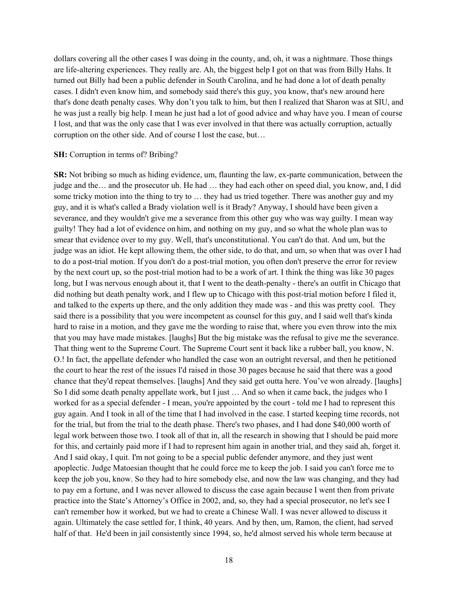dollars covering all the other cases I was doing in the county, and, oh, it was a nightmare. Those things are life-altering experiences. They really are. Ah, the biggest help I got on that was from Billy Hahs. It turned out Billy had been a public defender in South Carolina, and he had done a lot of death penalty cases. I didn't even know him, and somebody said there's this guy, you know, that's new around here that's done death penalty cases. Why don't you talk to him, but then I realized that Sharon was at SIU, and he was just a really big help. I mean he just had a lot of good advice and whay have you. I mean of course I lost, and that was the only case that I was ever involved in that there was actually corruption, actually corruption on the other side. And of course I lost the case, but…

### **SH:** Corruption in terms of? Bribing?

**SR:** Not bribing so much as hiding evidence, um, flaunting the law, ex-parte communication, between the judge and the… and the prosecutor uh. He had … they had each other on speed dial, you know, and, I did some tricky motion into the thing to try to … they had us tried together. There was another guy and my guy, and it is what's called a Brady violation well is it Brady? Anyway, I should have been given a severance, and they wouldn't give me a severance from this other guy who was way guilty. I mean way guilty! They had a lot of evidence on him, and nothing on my guy, and so what the whole plan was to smear that evidence over to my guy. Well, that's unconstitutional. You can't do that. And um, but the judge was an idiot. He kept allowing them, the other side, to do that, and um, so when that was over I had to do a post-trial motion. If you don't do a post-trial motion, you often don't preserve the error for review by the next court up, so the post-trial motion had to be a work of art. I think the thing was like 30 pages long, but I was nervous enough about it, that I went to the death-penalty - there's an outfit in Chicago that did nothing but death penalty work, and I flew up to Chicago with this post-trial motion before I filed it, and talked to the experts up there, and the only addition they made was - and this was pretty cool. They said there is a possibility that you were incompetent as counsel for this guy, and I said well that's kinda hard to raise in a motion, and they gave me the wording to raise that, where you even throw into the mix that you may have made mistakes. [laughs] But the big mistake was the refusal to give me the severance. That thing went to the Supreme Court. The Supreme Court sent it back like a rubber ball, you know, N. O.! In fact, the appellate defender who handled the case won an outright reversal, and then he petitioned the court to hear the rest of the issues I'd raised in those 30 pages because he said that there was a good chance that they'd repeat themselves. [laughs] And they said get outta here. You've won already. [laughs] So I did some death penalty appellate work, but I just … And so when it came back, the judges who I worked for as a special defender - I mean, you're appointed by the court - told me I had to represent this guy again. And I took in all of the time that I had involved in the case. I started keeping time records, not for the trial, but from the trial to the death phase. There's two phases, and I had done \$40,000 worth of legal work between those two. I took all of that in, all the research in showing that I should be paid more for this, and certainly paid more if I had to represent him again in another trial, and they said ah, forget it. And I said okay, I quit. I'm not going to be a special public defender anymore, and they just went apoplectic. Judge Matoesian thought that he could force me to keep the job. I said you can't force me to keep the job you, know. So they had to hire somebody else, and now the law was changing, and they had to pay em a fortune, and I was never allowed to discuss the case again because I went then from private practice into the State's Attorney's Office in 2002, and, so, they had a special prosecutor, no let's see I can't remember how it worked, but we had to create a Chinese Wall. I was never allowed to discuss it again. Ultimately the case settled for, I think, 40 years. And by then, um, Ramon, the client, had served half of that. He'd been in jail consistently since 1994, so, he'd almost served his whole term because at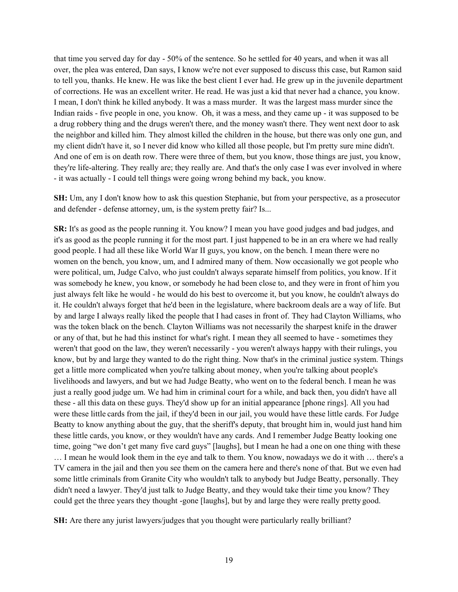that time you served day for day - 50% of the sentence. So he settled for 40 years, and when it was all over, the plea was entered, Dan says, I know we're not ever supposed to discuss this case, but Ramon said to tell you, thanks. He knew. He was like the best client I ever had. He grew up in the juvenile department of corrections. He was an excellent writer. He read. He was just a kid that never had a chance, you know. I mean, I don't think he killed anybody. It was a mass murder. It was the largest mass murder since the Indian raids - five people in one, you know. Oh, it was a mess, and they came up - it was supposed to be a drug robbery thing and the drugs weren't there, and the money wasn't there. They went next door to ask the neighbor and killed him. They almost killed the children in the house, but there was only one gun, and my client didn't have it, so I never did know who killed all those people, but I'm pretty sure mine didn't. And one of em is on death row. There were three of them, but you know, those things are just, you know, they're life-altering. They really are; they really are. And that's the only case I was ever involved in where - it was actually - I could tell things were going wrong behind my back, you know.

**SH:** Um, any I don't know how to ask this question Stephanie, but from your perspective, as a prosecutor and defender - defense attorney, um, is the system pretty fair? Is...

**SR:** It's as good as the people running it. You know? I mean you have good judges and bad judges, and it's as good as the people running it for the most part. I just happened to be in an era where we had really good people. I had all these like World War II guys, you know, on the bench. I mean there were no women on the bench, you know, um, and I admired many of them. Now occasionally we got people who were political, um, Judge Calvo, who just couldn't always separate himself from politics, you know. If it was somebody he knew, you know, or somebody he had been close to, and they were in front of him you just always felt like he would - he would do his best to overcome it, but you know, he couldn't always do it. He couldn't always forget that he'd been in the legislature, where backroom deals are a way of life. But by and large I always really liked the people that I had cases in front of. They had Clayton Williams, who was the token black on the bench. Clayton Williams was not necessarily the sharpest knife in the drawer or any of that, but he had this instinct for what's right. I mean they all seemed to have - sometimes they weren't that good on the law, they weren't necessarily - you weren't always happy with their rulings, you know, but by and large they wanted to do the right thing. Now that's in the criminal justice system. Things get a little more complicated when you're talking about money, when you're talking about people's livelihoods and lawyers, and but we had Judge Beatty, who went on to the federal bench. I mean he was just a really good judge um. We had him in criminal court for a while, and back then, you didn't have all these - all this data on these guys. They'd show up for an initial appearance [phone rings]. All you had were these little cards from the jail, if they'd been in our jail, you would have these little cards. For Judge Beatty to know anything about the guy, that the sheriff's deputy, that brought him in, would just hand him these little cards, you know, or they wouldn't have any cards. And I remember Judge Beatty looking one time, going "we don't get many five card guys" [laughs], but I mean he had a one on one thing with these … I mean he would look them in the eye and talk to them. You know, nowadays we do it with … there's a TV camera in the jail and then you see them on the camera here and there's none of that. But we even had some little criminals from Granite City who wouldn't talk to anybody but Judge Beatty, personally. They didn't need a lawyer. They'd just talk to Judge Beatty, and they would take their time you know? They could get the three years they thought -gone [laughs], but by and large they were really pretty good.

**SH:** Are there any jurist lawyers/judges that you thought were particularly really brilliant?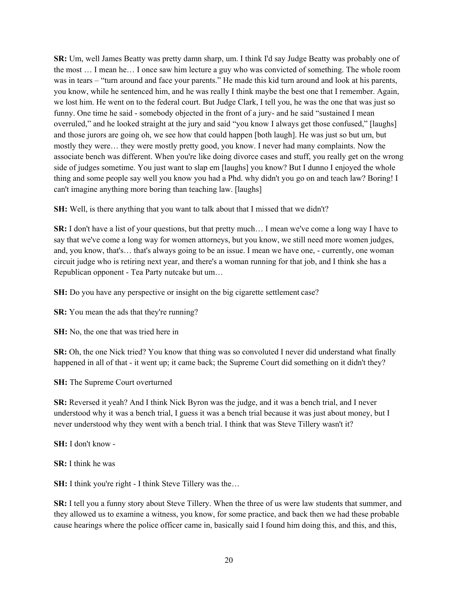**SR:** Um, well James Beatty was pretty damn sharp, um. I think I'd say Judge Beatty was probably one of the most … I mean he… I once saw him lecture a guy who was convicted of something. The whole room was in tears – "turn around and face your parents." He made this kid turn around and look at his parents, you know, while he sentenced him, and he was really I think maybe the best one that I remember. Again, we lost him. He went on to the federal court. But Judge Clark, I tell you, he was the one that was just so funny. One time he said - somebody objected in the front of a jury- and he said "sustained I mean overruled," and he looked straight at the jury and said "you know I always get those confused," [laughs] and those jurors are going oh, we see how that could happen [both laugh]. He was just so but um, but mostly they were… they were mostly pretty good, you know. I never had many complaints. Now the associate bench was different. When you're like doing divorce cases and stuff, you really get on the wrong side of judges sometime. You just want to slap em [laughs] you know? But I dunno I enjoyed the whole thing and some people say well you know you had a Phd. why didn't you go on and teach law? Boring! I can't imagine anything more boring than teaching law. [laughs]

**SH:** Well, is there anything that you want to talk about that I missed that we didn't?

**SR:** I don't have a list of your questions, but that pretty much… I mean we've come a long way I have to say that we've come a long way for women attorneys, but you know, we still need more women judges, and, you know, that's… that's always going to be an issue. I mean we have one, - currently, one woman circuit judge who is retiring next year, and there's a woman running for that job, and I think she has a Republican opponent - Tea Party nutcake but um…

**SH:** Do you have any perspective or insight on the big cigarette settlement case?

**SR:** You mean the ads that they're running?

**SH:** No, the one that was tried here in

**SR:** Oh, the one Nick tried? You know that thing was so convoluted I never did understand what finally happened in all of that - it went up; it came back; the Supreme Court did something on it didn't they?

**SH:** The Supreme Court overturned

**SR:** Reversed it yeah? And I think Nick Byron was the judge, and it was a bench trial, and I never understood why it was a bench trial, I guess it was a bench trial because it was just about money, but I never understood why they went with a bench trial. I think that was Steve Tillery wasn't it?

**SH:** I don't know -

**SR:** I think he was

**SH:** I think you're right - I think Steve Tillery was the...

**SR:** I tell you a funny story about Steve Tillery. When the three of us were law students that summer, and they allowed us to examine a witness, you know, for some practice, and back then we had these probable cause hearings where the police officer came in, basically said I found him doing this, and this, and this,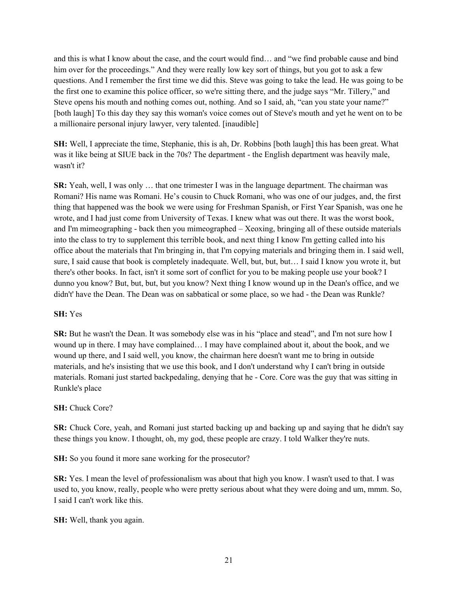and this is what I know about the case, and the court would find… and "we find probable cause and bind him over for the proceedings." And they were really low key sort of things, but you got to ask a few questions. And I remember the first time we did this. Steve was going to take the lead. He was going to be the first one to examine this police officer, so we're sitting there, and the judge says "Mr. Tillery," and Steve opens his mouth and nothing comes out, nothing. And so I said, ah, "can you state your name?" [both laugh] To this day they say this woman's voice comes out of Steve's mouth and yet he went on to be a millionaire personal injury lawyer, very talented. [inaudible]

**SH:** Well, I appreciate the time, Stephanie, this is ah, Dr. Robbins [both laugh] this has been great. What was it like being at SIUE back in the 70s? The department - the English department was heavily male, wasn't it?

**SR:** Yeah, well, I was only … that one trimester I was in the language department. The chairman was Romani? His name was Romani. He's cousin to Chuck Romani, who was one of our judges, and, the first thing that happened was the book we were using for Freshman Spanish, or First Year Spanish, was one he wrote, and I had just come from University of Texas. I knew what was out there. It was the worst book, and I'm mimeographing - back then you mimeographed – Xeoxing, bringing all of these outside materials into the class to try to supplement this terrible book, and next thing I know I'm getting called into his office about the materials that I'm bringing in, that I'm copying materials and bringing them in. I said well, sure, I said cause that book is completely inadequate. Well, but, but, but… I said I know you wrote it, but there's other books. In fact, isn't it some sort of conflict for you to be making people use your book? I dunno you know? But, but, but, but you know? Next thing I know wound up in the Dean's office, and we didn't' have the Dean. The Dean was on sabbatical or some place, so we had - the Dean was Runkle?

# **SH:** Yes

**SR:** But he wasn't the Dean. It was somebody else was in his "place and stead", and I'm not sure how I wound up in there. I may have complained… I may have complained about it, about the book, and we wound up there, and I said well, you know, the chairman here doesn't want me to bring in outside materials, and he's insisting that we use this book, and I don't understand why I can't bring in outside materials. Romani just started backpedaling, denying that he - Core. Core was the guy that was sitting in Runkle's place

# **SH:** Chuck Core?

**SR:** Chuck Core, yeah, and Romani just started backing up and backing up and saying that he didn't say these things you know. I thought, oh, my god, these people are crazy. I told Walker they're nuts.

**SH:** So you found it more sane working for the prosecutor?

**SR:** Yes. I mean the level of professionalism was about that high you know. I wasn't used to that. I was used to, you know, really, people who were pretty serious about what they were doing and um, mmm. So, I said I can't work like this.

**SH:** Well, thank you again.